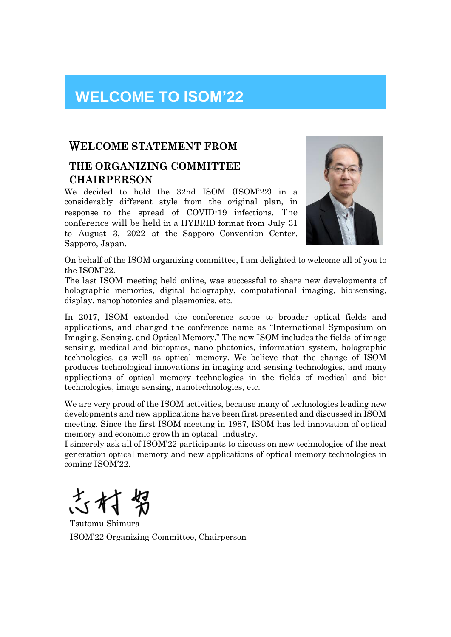## **WELCOME TO ISOM'22**

## W**ELCOME STATEMENT FROM**

## **THE ORGANIZING COMMITTEE CHAIRPERSON**

We decided to hold the 32nd ISOM (ISOM'22) in a considerably different style from the original plan, in response to the spread of COVID-19 infections. The conference will be held in a HYBRID format from July 31 to August 3, 2022 at the Sapporo Convention Center, Sapporo, Japan.



On behalf of the ISOM organizing committee, I am delighted to welcome all of you to the ISOM'22.

The last ISOM meeting held online, was successful to share new developments of holographic memories, digital holography, computational imaging, bio-sensing, display, nanophotonics and plasmonics, etc.

In 2017, ISOM extended the conference scope to broader optical fields and applications, and changed the conference name as "International Symposium on Imaging, Sensing, and Optical Memory." The new ISOM includes the fields of image sensing, medical and bio-optics, nano photonics, information system, holographic technologies, as well as optical memory. We believe that the change of ISOM produces technological innovations in imaging and sensing technologies, and many applications of optical memory technologies in the fields of medical and biotechnologies, image sensing, nanotechnologies, etc.

We are very proud of the ISOM activities, because many of technologies leading new developments and new applications have been first presented and discussed in ISOM meeting. Since the first ISOM meeting in 1987, ISOM has led innovation of optical memory and economic growth in optical industry.

I sincerely ask all of ISOM'22 participants to discuss on new technologies of the next generation optical memory and new applications of optical memory technologies in coming ISOM'22.

Tsutomu Shimura ISOM'22 Organizing Committee, Chairperson